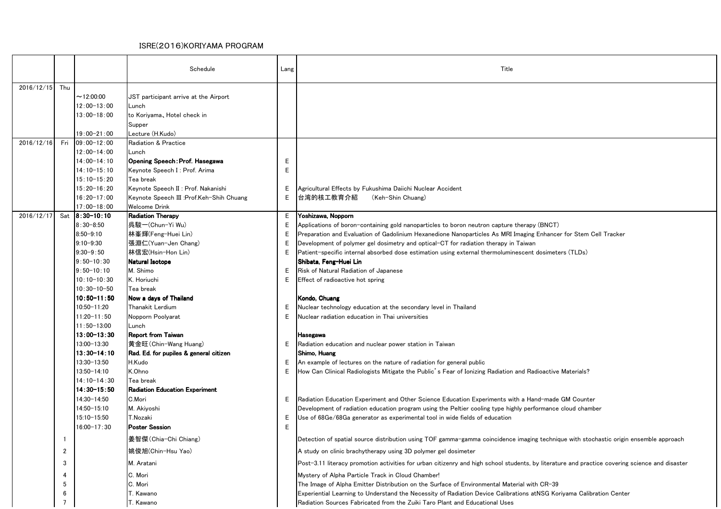## ISRE(2016)KORIYAMA PROGRAM

|                  |                |                                | Schedule                                    | Lang    | Title                                                                                                                                                                                                   |
|------------------|----------------|--------------------------------|---------------------------------------------|---------|---------------------------------------------------------------------------------------------------------------------------------------------------------------------------------------------------------|
| $2016/12/15$ Thu |                |                                |                                             |         |                                                                                                                                                                                                         |
|                  |                | $\sim$ 12:00:00                | JST participant arrive at the Airport       |         |                                                                                                                                                                                                         |
|                  |                | $12:00 - 13:00$                | Lunch                                       |         |                                                                                                                                                                                                         |
|                  |                | $13:00 - 18:00$                | to Koriyama, Hotel check in                 |         |                                                                                                                                                                                                         |
|                  |                |                                | Supper                                      |         |                                                                                                                                                                                                         |
|                  |                | $19:00 - 21:00$                | Lecture (H.Kudo)                            |         |                                                                                                                                                                                                         |
| 2016/12/16       | Fri            | $09:00 - 12:00$                | Radiation & Practice                        |         |                                                                                                                                                                                                         |
|                  |                | $12:00 - 14:00$                | Lunch                                       |         |                                                                                                                                                                                                         |
|                  |                | $14:00 - 14:10$                | Opening Speech: Prof. Hasegawa              | E       |                                                                                                                                                                                                         |
|                  |                | $14:10-15:10$                  | Keynote Speech I: Prof. Arima               | E       |                                                                                                                                                                                                         |
|                  |                | $15:10 - 15:20$                | Tea break                                   |         |                                                                                                                                                                                                         |
|                  |                | $15:20 - 16:20$                | Keynote Speech II : Prof. Nakanishi         | Ε       | Agricultural Effects by Fukushima Daiichi Nuclear Accident                                                                                                                                              |
|                  |                | $16:20 - 17:00$                | Keynote Speech III :Prof.Keh-Shih Chuang    | Е       | 台湾的核工教育介紹<br>(Keh-Shin Chuang)                                                                                                                                                                          |
|                  |                | $17:00 - 18:00$                | <b>Welcome Drink</b>                        |         |                                                                                                                                                                                                         |
| 2016/12/17       |                | Sat 8:30-10:10                 | <b>Radiation Therapy</b>                    | E.      | Yoshizawa, Nopporn                                                                                                                                                                                      |
|                  |                | $8:30 - 8:50$                  | 呉駿-(Chun-Yi Wu)                             | Ε       | Applications of boron-containing gold nanoparticles to boron neutron capture therapy (BNCT)                                                                                                             |
|                  |                | $8:50 - 9:10$                  | 林峯輝(Feng-Huei Lin)                          | Е       | Preparation and Evaluation of Gadolinium Hexanedione Nanoparticles As MRI Imaging Enhancer for Stem Cell Tracker                                                                                        |
|                  |                | $9:10 - 9:30$                  | 張淵仁(Yuan-Jen Chang)                         | Е       | Development of polymer gel dosimetry and optical-CT for radiation therapy in Taiwan                                                                                                                     |
|                  |                | $9:30 - 9:50$                  | 林信宏(Hsin-Hon Lin)                           | Е       | Patient-specific internal absorbed dose estimation using external thermoluminescent dosimeters (TLDs)                                                                                                   |
|                  |                | $9:50 - 10:30$                 | Natural Isotope                             |         | Shibata, Feng–Huei Lin                                                                                                                                                                                  |
|                  |                | $9:50 - 10:10$                 | M. Shimo                                    | Е       | Risk of Natural Radiation of Japanese                                                                                                                                                                   |
|                  |                | $10:10 - 10:30$                | K. Horiuchi                                 | Е       | Effect of radioactive hot spring                                                                                                                                                                        |
|                  |                | $10:30 - 10 - 50$              | Tea break                                   |         |                                                                                                                                                                                                         |
|                  |                | $10:50 - 11:50$<br>10:50-11:20 | Now a days of Thailand                      |         | Kondo, Chuang                                                                                                                                                                                           |
|                  |                | $11:20 - 11:50$                | Thanakit Lerdium                            | E.<br>E | Nuclear technology education at the secondary level in Thailand<br>Nuclear radiation education in Thai universities                                                                                     |
|                  |                | $11:50 - 13:00$                | Nopporn Poolyarat                           |         |                                                                                                                                                                                                         |
|                  |                | $13:00 - 13:30$                | Lunch<br><b>Report from Taiwan</b>          |         |                                                                                                                                                                                                         |
|                  |                | 13:00-13:30                    | 黄金旺(Chin-Wang Huang)                        | E.      | <b>Hasegawa</b><br>Radiation education and nuclear power station in Taiwan                                                                                                                              |
|                  |                | $13:30 - 14:10$                | Rad. Ed. for pupiles & general citizen      |         | Shimo, Huang                                                                                                                                                                                            |
|                  |                | 13:30-13:50                    | H.Kudo                                      | E.      | An example of lectures on the nature of radiation for general public                                                                                                                                    |
|                  |                | 13:50-14:10                    | K.Ohno                                      | Е       | How Can Clinical Radiologists Mitigate the Public's Fear of Ionizing Radiation and Radioactive Materials?                                                                                               |
|                  |                | $14:10-14:30$                  | Tea break                                   |         |                                                                                                                                                                                                         |
|                  |                | $14:30 - 15:50$                | <b>Radiation Education Experiment</b>       |         |                                                                                                                                                                                                         |
|                  |                | 14:30-14:50                    | C.Mori                                      | E.      | Radiation Education Experiment and Other Science Education Experiments with a Hand-made GM Counter                                                                                                      |
|                  |                | 14:50-15:10                    | M. Akiyoshi                                 |         | Development of radiation education program using the Peltier cooling type highly performance cloud chamber                                                                                              |
|                  |                | 15:10-15:50                    | T.Nozaki                                    | E.      | Use of 68Ge/68Ga generator as experimental tool in wide fields of education                                                                                                                             |
|                  |                | $16:00 - 17:30$                | <b>Poster Session</b>                       | E       |                                                                                                                                                                                                         |
|                  |                |                                |                                             |         |                                                                                                                                                                                                         |
|                  | $\overline{2}$ |                                | 姜智傑 (Chia-Chi Chiang)<br> 姚俊旭(Chin-Hsu Yao) |         | Detection of spatial source distribution using TOF gamma-gamma coincidence imaging technique with stochastic origin ensemble approach<br>A study on clinic brachytherapy using 3D polymer gel dosimeter |
|                  | 3              |                                | M. Aratani                                  |         | Post-3.11 literacy promotion activities for urban citizenry and high school students, by literature and practice covering science and disaster                                                          |
|                  |                |                                |                                             |         |                                                                                                                                                                                                         |
|                  | 4              |                                | C. Mori                                     |         | Mystery of Alpha Particle Track in Cloud Chamber!                                                                                                                                                       |
|                  | 5              |                                | C. Mori                                     |         | The Image of Alpha Emitter Distribution on the Surface of Environmental Material with CR-39                                                                                                             |
|                  | 6              |                                | T. Kawano                                   |         | Experiential Learning to Understand the Necessity of Radiation Device Calibrations at NSG Koriyama Calibration Center                                                                                   |
|                  | 7              |                                | T. Kawano                                   |         | Radiation Sources Fabricated from the Zuiki Taro Plant and Educational Uses                                                                                                                             |